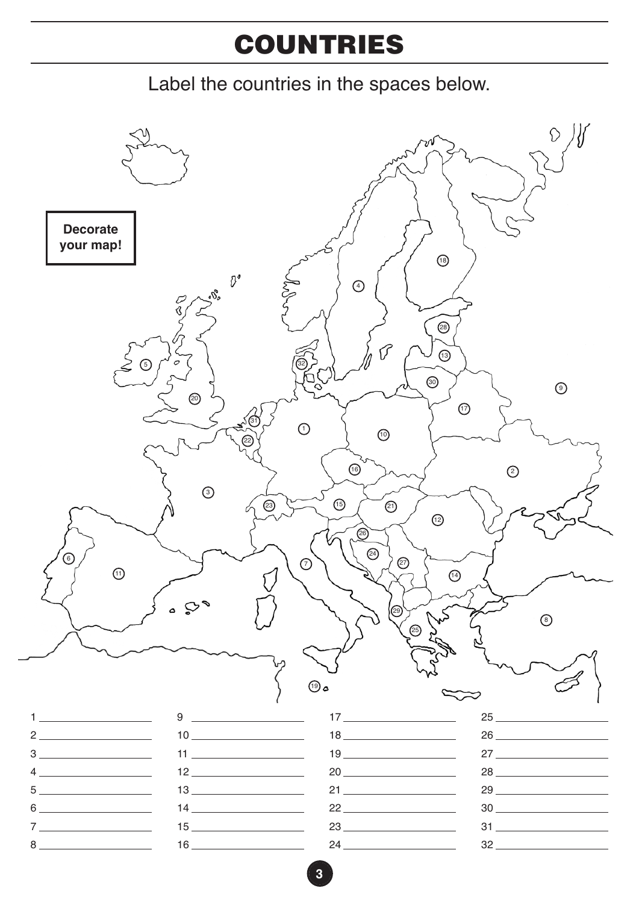## **COUNTRIES**

Label the countries in the spaces below.

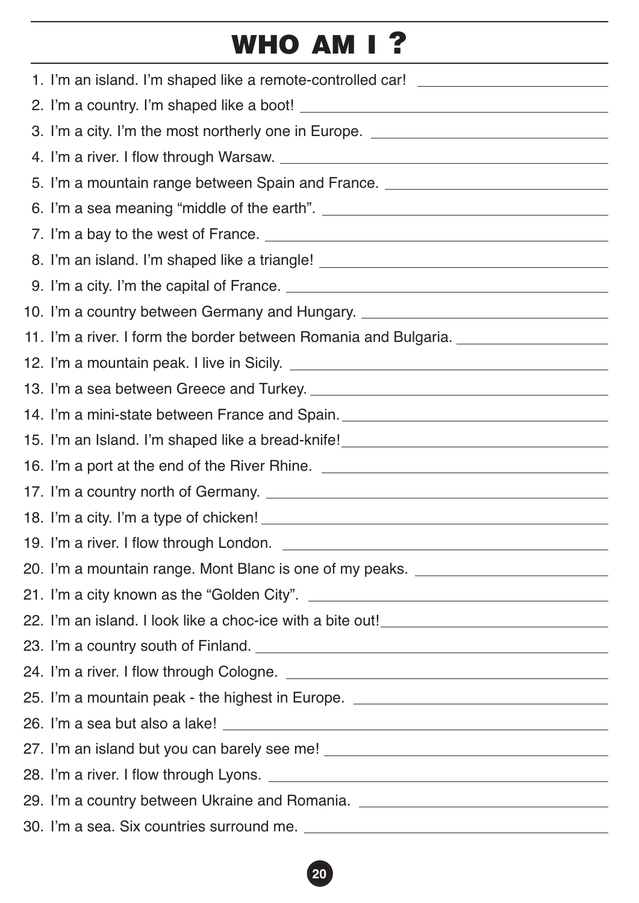## **WHO AM I ?**

| 1. I'm an island. I'm shaped like a remote-controlled car! _____________________                                                                                                                                                     |
|--------------------------------------------------------------------------------------------------------------------------------------------------------------------------------------------------------------------------------------|
|                                                                                                                                                                                                                                      |
| 3. I'm a city. I'm the most northerly one in Europe. ___________________________                                                                                                                                                     |
|                                                                                                                                                                                                                                      |
| 5. I'm a mountain range between Spain and France. <u>Communication and the set of the set of the set of the set of the set of the set of the set of the set of the set of the set of the set of the set of the set of the set of</u> |
|                                                                                                                                                                                                                                      |
|                                                                                                                                                                                                                                      |
| 8. I'm an island. I'm shaped like a triangle! __________________________________                                                                                                                                                     |
|                                                                                                                                                                                                                                      |
| 10. I'm a country between Germany and Hungary. _________________________________                                                                                                                                                     |
| 11. I'm a river. I form the border between Romania and Bulgaria. _______________                                                                                                                                                     |
|                                                                                                                                                                                                                                      |
|                                                                                                                                                                                                                                      |
| 14. I'm a mini-state between France and Spain. _________________________________                                                                                                                                                     |
| 15. I'm an Island. I'm shaped like a bread-knife! ______________________________                                                                                                                                                     |
| 16. I'm a port at the end of the River Rhine. __________________________________                                                                                                                                                     |
|                                                                                                                                                                                                                                      |
|                                                                                                                                                                                                                                      |
|                                                                                                                                                                                                                                      |
| 20. I'm a mountain range. Mont Blanc is one of my peaks. _______________________                                                                                                                                                     |
|                                                                                                                                                                                                                                      |
| 22. I'm an island. I look like a choc-ice with a bite out!<br>a said out!<br>Said Contains and the container and the container and the container and the container and the container and t                                           |
|                                                                                                                                                                                                                                      |
|                                                                                                                                                                                                                                      |
| 25. I'm a mountain peak - the highest in Europe. _______________________________                                                                                                                                                     |
|                                                                                                                                                                                                                                      |
|                                                                                                                                                                                                                                      |
|                                                                                                                                                                                                                                      |
| 29. I'm a country between Ukraine and Romania. _________________________________                                                                                                                                                     |
|                                                                                                                                                                                                                                      |